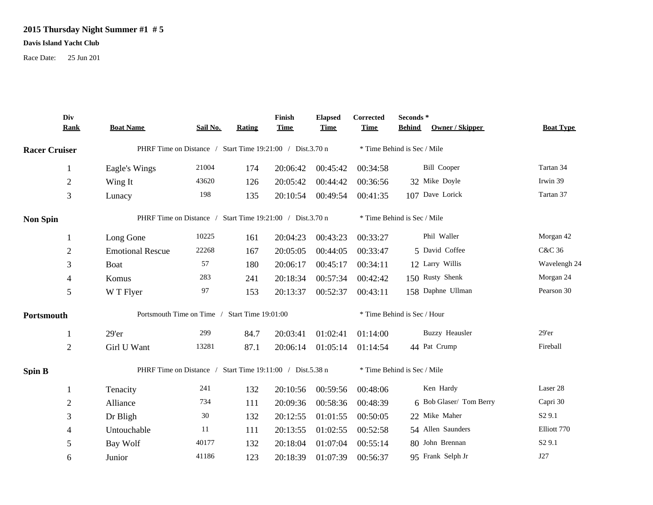## **2015 Thursday Night Summer #1 # 5**

## **Davis Island Yacht Club**

Race Date: 25 Jun 201

|                      | Div<br><b>Rank</b> | <b>Boat Name</b>                                          | Sail No. | <b>Rating</b> | Finish<br><b>Time</b> | <b>Elapsed</b><br><b>Time</b> | Corrected<br><b>Time</b>    | Seconds*<br><b>Behind</b><br>Owner / Skipper | <b>Boat Type</b>   |  |
|----------------------|--------------------|-----------------------------------------------------------|----------|---------------|-----------------------|-------------------------------|-----------------------------|----------------------------------------------|--------------------|--|
| <b>Racer Cruiser</b> |                    | PHRF Time on Distance / Start Time 19:21:00 / Dist.3.70 n |          |               |                       |                               | * Time Behind is Sec / Mile |                                              |                    |  |
|                      | 1                  | Eagle's Wings                                             | 21004    | 174           | 20:06:42              | 00:45:42                      | 00:34:58                    | <b>Bill Cooper</b>                           | Tartan 34          |  |
|                      | $\overline{2}$     | Wing It                                                   | 43620    | 126           | 20:05:42              | 00:44:42                      | 00:36:56                    | 32 Mike Doyle                                | Irwin 39           |  |
|                      | $\mathfrak{Z}$     | Lunacy                                                    | 198      | 135           | 20:10:54              | 00:49:54                      | 00:41:35                    | 107 Dave Lorick                              | Tartan 37          |  |
| <b>Non Spin</b>      |                    | PHRF Time on Distance / Start Time 19:21:00 / Dist.3.70 n |          |               |                       |                               | * Time Behind is Sec / Mile |                                              |                    |  |
|                      | 1                  | Long Gone                                                 | 10225    | 161           | 20:04:23              | 00:43:23                      | 00:33:27                    | Phil Waller                                  | Morgan 42          |  |
|                      | $\overline{2}$     | <b>Emotional Rescue</b>                                   | 22268    | 167           | 20:05:05              | 00:44:05                      | 00:33:47                    | 5 David Coffee                               | C&C 36             |  |
|                      | 3                  | Boat                                                      | 57       | 180           | 20:06:17              | 00:45:17                      | 00:34:11                    | 12 Larry Willis                              | Wavelengh 24       |  |
|                      | $\overline{4}$     | Komus                                                     | 283      | 241           | 20:18:34              | 00:57:34                      | 00:42:42                    | 150 Rusty Shenk                              | Morgan 24          |  |
|                      | 5                  | W T Flyer                                                 | 97       | 153           | 20:13:37              | 00:52:37                      | 00:43:11                    | 158 Daphne Ullman                            | Pearson 30         |  |
| Portsmouth           |                    | Portsmouth Time on Time / Start Time 19:01:00             |          |               |                       |                               | * Time Behind is Sec / Hour |                                              |                    |  |
|                      | 1                  | 29'er                                                     | 299      | 84.7          | 20:03:41              | 01:02:41                      | 01:14:00                    | <b>Buzzy Heausler</b>                        | $29'$ er           |  |
|                      | $\overline{2}$     | Girl U Want                                               | 13281    | 87.1          | 20:06:14              | 01:05:14                      | 01:14:54                    | 44 Pat Crump                                 | Fireball           |  |
| <b>Spin B</b>        |                    | PHRF Time on Distance / Start Time 19:11:00 / Dist.5.38 n |          |               |                       |                               | * Time Behind is Sec / Mile |                                              |                    |  |
|                      | 1                  | Tenacity                                                  | 241      | 132           | 20:10:56              | 00:59:56                      | 00:48:06                    | Ken Hardy                                    | Laser 28           |  |
|                      | $\boldsymbol{2}$   | Alliance                                                  | 734      | 111           | 20:09:36              | 00:58:36                      | 00:48:39                    | 6 Bob Glaser/ Tom Berry                      | Capri 30           |  |
|                      | 3                  | Dr Bligh                                                  | 30       | 132           | 20:12:55              | 01:01:55                      | 00:50:05                    | 22 Mike Maher                                | S <sub>2</sub> 9.1 |  |
|                      | 4                  | Untouchable                                               | 11       | 111           | 20:13:55              | 01:02:55                      | 00:52:58                    | 54 Allen Saunders                            | Elliott 770        |  |
|                      | 5                  | Bay Wolf                                                  | 40177    | 132           | 20:18:04              | 01:07:04                      | 00:55:14                    | 80 John Brennan                              | S <sub>2</sub> 9.1 |  |
|                      | 6                  | Junior                                                    | 41186    | 123           | 20:18:39              | 01:07:39                      | 00:56:37                    | 95 Frank Selph Jr                            | J27                |  |